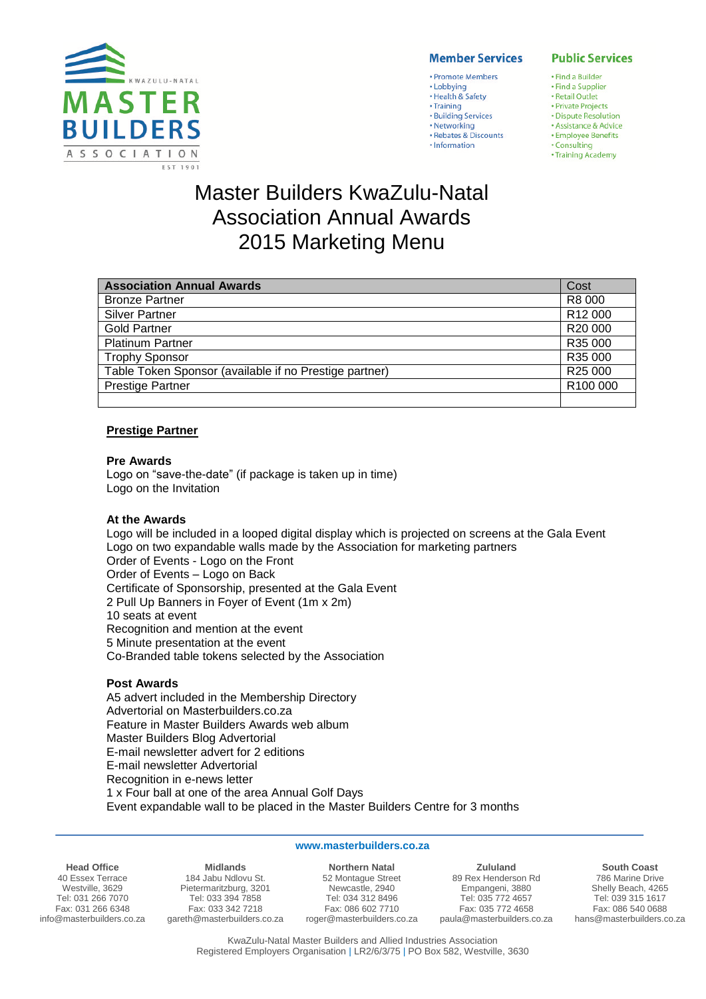

# **Member Services**

# • Promote Members

- · Lobbying
- · Health & Safety
- Training • Building Services
- · Networking
- · Rebates & Discounts
- · Information

# **Public Services**

- · Find a Builder
- · Find a Supplier
- · Retail Outlet · Private Projects
- · Dispute Resolution
- · Assistance & Advice **· Employee Benefits**
- · Consulting
- Training Academy

# Master Builders KwaZulu-Natal Association Annual Awards 2015 Marketing Menu

| <b>Association Annual Awards</b>                       | Cost                |
|--------------------------------------------------------|---------------------|
| <b>Bronze Partner</b>                                  | R8 000              |
| <b>Silver Partner</b>                                  | R <sub>12</sub> 000 |
| <b>Gold Partner</b>                                    | R20 000             |
| <b>Platinum Partner</b>                                | R35 000             |
| <b>Trophy Sponsor</b>                                  | R35 000             |
| Table Token Sponsor (available if no Prestige partner) | R25 000             |
| <b>Prestige Partner</b>                                | R100 000            |
|                                                        |                     |

# **Prestige Partner**

#### **Pre Awards**

Logo on "save-the-date" (if package is taken up in time) Logo on the Invitation

# **At the Awards**

Logo will be included in a looped digital display which is projected on screens at the Gala Event Logo on two expandable walls made by the Association for marketing partners Order of Events - Logo on the Front Order of Events – Logo on Back Certificate of Sponsorship, presented at the Gala Event 2 Pull Up Banners in Foyer of Event (1m x 2m) 10 seats at event Recognition and mention at the event 5 Minute presentation at the event Co-Branded table tokens selected by the Association

# **Post Awards**

A5 advert included in the Membership Directory Advertorial on Masterbuilders.co.za Feature in Master Builders Awards web album Master Builders Blog Advertorial E-mail newsletter advert for 2 editions E-mail newsletter Advertorial Recognition in e-news letter 1 x Four ball at one of the area Annual Golf Days Event expandable wall to be placed in the Master Builders Centre for 3 months

#### **www.masterbuilders.co.za**

**Head Office**

40 Essex Terrace Westville, 3629 Tel: 031 266 7070 Fax: 031 266 6348 info@masterbuilders.co.za

**Midlands** 184 Jabu Ndlovu St. Pietermaritzburg, 3201 Tel: 033 394 7858 Fax: 033 342 7218 gareth@masterbuilders.co.za

**Northern Natal** 52 Montague Street Newcastle, 2940 Tel: 034 312 8496 Fax: 086 602 7710 roger@masterbuilders.co.za

**Zululand** 89 Rex Henderson Rd Empangeni, 3880 Tel: 035 772 4657 Fax: 035 772 4658 paula@masterbuilders.co.za

**South Coast** 786 Marine Drive Shelly Beach, 4265 Tel: 039 315 1617 Fax: 086 540 0688 hans@masterbuilders.co.za

KwaZulu-Natal Master Builders and Allied Industries Association Registered Employers Organisation | LR2/6/3/75 | PO Box 582, Westville, 3630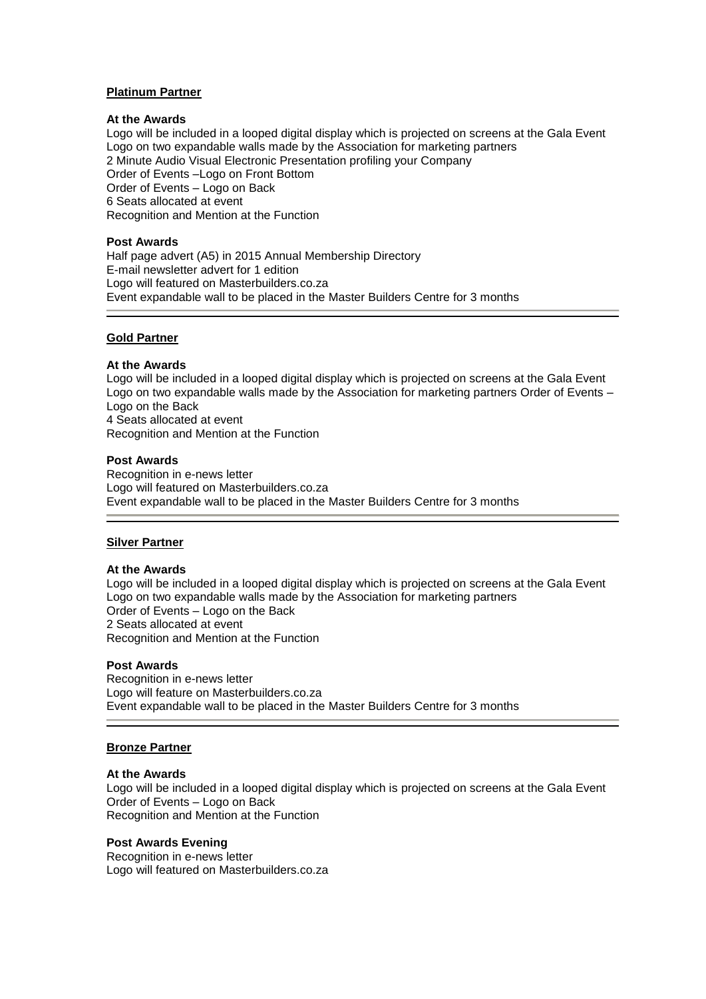# **Platinum Partner**

## **At the Awards**

Logo will be included in a looped digital display which is projected on screens at the Gala Event Logo on two expandable walls made by the Association for marketing partners 2 Minute Audio Visual Electronic Presentation profiling your Company Order of Events –Logo on Front Bottom Order of Events – Logo on Back 6 Seats allocated at event Recognition and Mention at the Function

#### **Post Awards**

Half page advert (A5) in 2015 Annual Membership Directory E-mail newsletter advert for 1 edition Logo will featured on Masterbuilders.co.za Event expandable wall to be placed in the Master Builders Centre for 3 months

# **Gold Partner**

# **At the Awards**

Logo will be included in a looped digital display which is projected on screens at the Gala Event Logo on two expandable walls made by the Association for marketing partners Order of Events – Logo on the Back 4 Seats allocated at event Recognition and Mention at the Function

### **Post Awards**

Recognition in e-news letter Logo will featured on Masterbuilders.co.za Event expandable wall to be placed in the Master Builders Centre for 3 months

# **Silver Partner**

#### **At the Awards**

Logo will be included in a looped digital display which is projected on screens at the Gala Event Logo on two expandable walls made by the Association for marketing partners Order of Events – Logo on the Back 2 Seats allocated at event Recognition and Mention at the Function

#### **Post Awards**

Recognition in e-news letter Logo will feature on Masterbuilders.co.za Event expandable wall to be placed in the Master Builders Centre for 3 months

# **Bronze Partner**

#### **At the Awards**

Logo will be included in a looped digital display which is projected on screens at the Gala Event Order of Events – Logo on Back Recognition and Mention at the Function

# **Post Awards Evening**

Recognition in e-news letter Logo will featured on Masterbuilders.co.za